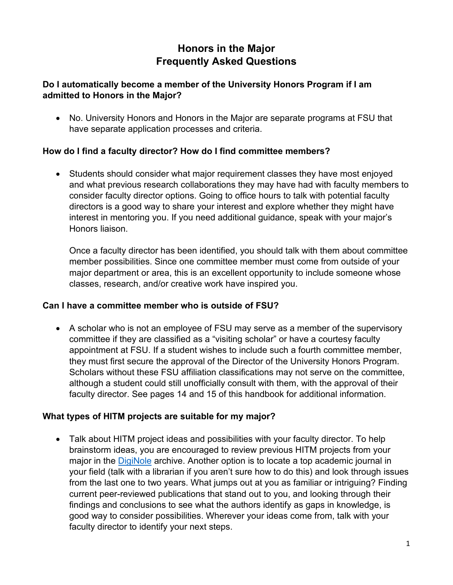# **Honors in the Major Frequently Asked Questions**

### **Do I automatically become a member of the University Honors Program if I am admitted to Honors in the Major?**

• No. University Honors and Honors in the Major are separate programs at FSU that have separate application processes and criteria.

## **How do I find a faculty director? How do I find committee members?**

• Students should consider what major requirement classes they have most enjoyed and what previous research collaborations they may have had with faculty members to consider faculty director options. Going to office hours to talk with potential faculty directors is a good way to share your interest and explore whether they might have interest in mentoring you. If you need additional guidance, speak with your major's Honors liaison.

Once a faculty director has been identified, you should talk with them about committee member possibilities. Since one committee member must come from outside of your major department or area, this is an excellent opportunity to include someone whose classes, research, and/or creative work have inspired you.

### **Can I have a committee member who is outside of FSU?**

• A scholar who is not an employee of FSU may serve as a member of the supervisory committee if they are classified as a "visiting scholar" or have a courtesy faculty appointment at FSU. If a student wishes to include such a fourth committee member, they must first secure the approval of the Director of the University Honors Program. Scholars without these FSU affiliation classifications may not serve on the committee, although a student could still unofficially consult with them, with the approval of their faculty director. See pages 14 and 15 of this handbook for additional information.

### **What types of HITM projects are suitable for my major?**

• Talk about HITM project ideas and possibilities with your faculty director. To help brainstorm ideas, you are encouraged to review previous HITM projects from your major in the [DigiNole](http://diginole.lib.fsu.edu/) archive. Another option is to locate a top academic journal in your field (talk with a librarian if you aren't sure how to do this) and look through issues from the last one to two years. What jumps out at you as familiar or intriguing? Finding current peer-reviewed publications that stand out to you, and looking through their findings and conclusions to see what the authors identify as gaps in knowledge, is good way to consider possibilities. Wherever your ideas come from, talk with your faculty director to identify your next steps.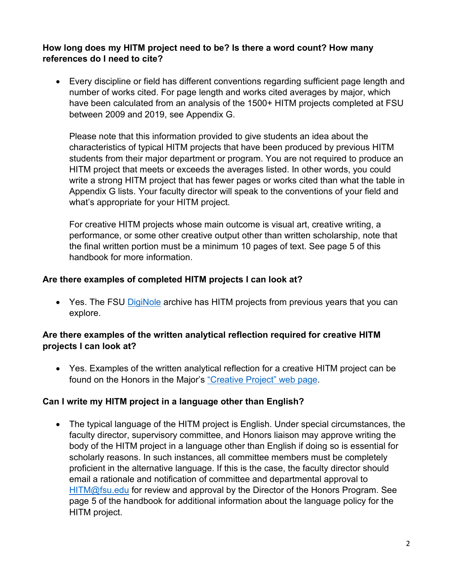### **How long does my HITM project need to be? Is there a word count? How many references do I need to cite?**

• Every discipline or field has different conventions regarding sufficient page length and number of works cited. For page length and works cited averages by major, which have been calculated from an analysis of the 1500+ HITM projects completed at FSU between 2009 and 2019, see Appendix G.

Please note that this information provided to give students an idea about the characteristics of typical HITM projects that have been produced by previous HITM students from their major department or program. You are not required to produce an HITM project that meets or exceeds the averages listed. In other words, you could write a strong HITM project that has fewer pages or works cited than what the table in Appendix G lists. Your faculty director will speak to the conventions of your field and what's appropriate for your HITM project.

For creative HITM projects whose main outcome is visual art, creative writing, a performance, or some other creative output other than written scholarship, note that the final written portion must be a minimum 10 pages of text. See page 5 of this handbook for more information.

## **Are there examples of completed HITM projects I can look at?**

• Yes. The FSU [DigiNole](http://diginole.lib.fsu.edu/) archive has HITM projects from previous years that you can explore.

### **Are there examples of the written analytical reflection required for creative HITM projects I can look at?**

• Yes. Examples of the written analytical reflection for a creative HITM project can be found on the Honors in the Major's ["Creative Project" web page.](https://honors.fsu.edu/honors-major/creative-project)

### **Can I write my HITM project in a language other than English?**

• The typical language of the HITM project is English. Under special circumstances, the faculty director, supervisory committee, and Honors liaison may approve writing the body of the HITM project in a language other than English if doing so is essential for scholarly reasons. In such instances, all committee members must be completely proficient in the alternative language. If this is the case, the faculty director should email a rationale and notification of committee and departmental approval to [HITM@fsu.edu](mailto:HITM@fsu.edu) for review and approval by the Director of the Honors Program. See page 5 of the handbook for additional information about the language policy for the HITM project.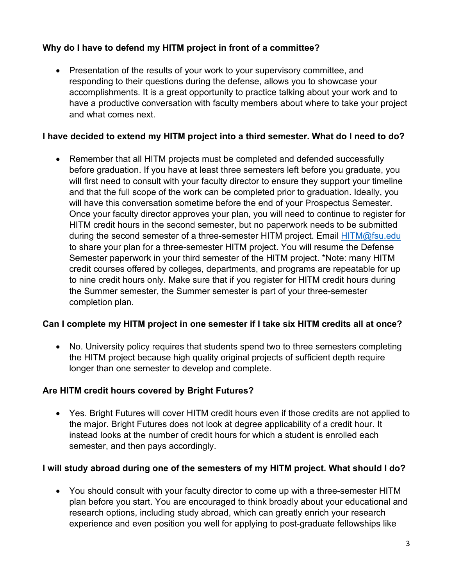# **Why do I have to defend my HITM project in front of a committee?**

• Presentation of the results of your work to your supervisory committee, and responding to their questions during the defense, allows you to showcase your accomplishments. It is a great opportunity to practice talking about your work and to have a productive conversation with faculty members about where to take your project and what comes next.

# **I have decided to extend my HITM project into a third semester. What do I need to do?**

• Remember that all HITM projects must be completed and defended successfully before graduation. If you have at least three semesters left before you graduate, you will first need to consult with your faculty director to ensure they support your timeline and that the full scope of the work can be completed prior to graduation. Ideally, you will have this conversation sometime before the end of your Prospectus Semester. Once your faculty director approves your plan, you will need to continue to register for HITM credit hours in the second semester, but no paperwork needs to be submitted during the second semester of a three-semester HITM project. Email [HITM@fsu.edu](mailto:HITM@fsu.edu) to share your plan for a three-semester HITM project. You will resume the Defense Semester paperwork in your third semester of the HITM project. \*Note: many HITM credit courses offered by colleges, departments, and programs are repeatable for up to nine credit hours only. Make sure that if you register for HITM credit hours during the Summer semester, the Summer semester is part of your three-semester completion plan.

### **Can I complete my HITM project in one semester if I take six HITM credits all at once?**

• No. University policy requires that students spend two to three semesters completing the HITM project because high quality original projects of sufficient depth require longer than one semester to develop and complete.

### **Are HITM credit hours covered by Bright Futures?**

• Yes. Bright Futures will cover HITM credit hours even if those credits are not applied to the major. Bright Futures does not look at degree applicability of a credit hour. It instead looks at the number of credit hours for which a student is enrolled each semester, and then pays accordingly.

### **I will study abroad during one of the semesters of my HITM project. What should I do?**

• You should consult with your faculty director to come up with a three-semester HITM plan before you start. You are encouraged to think broadly about your educational and research options, including study abroad, which can greatly enrich your research experience and even position you well for applying to post-graduate fellowships like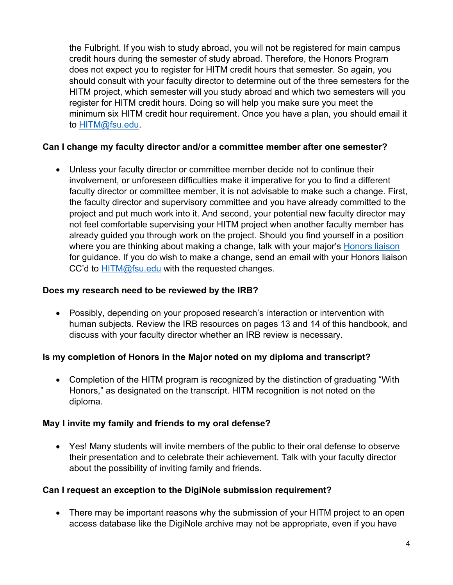the Fulbright. If you wish to study abroad, you will not be registered for main campus credit hours during the semester of study abroad. Therefore, the Honors Program does not expect you to register for HITM credit hours that semester. So again, you should consult with your faculty director to determine out of the three semesters for the HITM project, which semester will you study abroad and which two semesters will you register for HITM credit hours. Doing so will help you make sure you meet the minimum six HITM credit hour requirement. Once you have a plan, you should email it to [HITM@fsu.edu.](mailto:HITM@fsu.edu)

### **Can I change my faculty director and/or a committee member after one semester?**

• Unless your faculty director or committee member decide not to continue their involvement, or unforeseen difficulties make it imperative for you to find a different faculty director or committee member, it is not advisable to make such a change. First, the faculty director and supervisory committee and you have already committed to the project and put much work into it. And second, your potential new faculty director may not feel comfortable supervising your HITM project when another faculty member has already guided you through work on the project. Should you find yourself in a position where you are thinking about making a change, talk with your major's [Honors liaison](https://honors.fsu.edu/honors-major/faculty-and-staff/honors-liaisons) for guidance. If you do wish to make a change, send an email with your Honors liaison CC'd to [HITM@fsu.edu](mailto:HITM@fsu.edu) with the requested changes.

#### **Does my research need to be reviewed by the IRB?**

• Possibly, depending on your proposed research's interaction or intervention with human subjects. Review the IRB resources on pages 13 and 14 of this handbook, and discuss with your faculty director whether an IRB review is necessary.

#### **Is my completion of Honors in the Major noted on my diploma and transcript?**

• Completion of the HITM program is recognized by the distinction of graduating "With Honors," as designated on the transcript. HITM recognition is not noted on the diploma.

### **May I invite my family and friends to my oral defense?**

• Yes! Many students will invite members of the public to their oral defense to observe their presentation and to celebrate their achievement. Talk with your faculty director about the possibility of inviting family and friends.

#### **Can I request an exception to the DigiNole submission requirement?**

• There may be important reasons why the submission of your HITM project to an open access database like the DigiNole archive may not be appropriate, even if you have